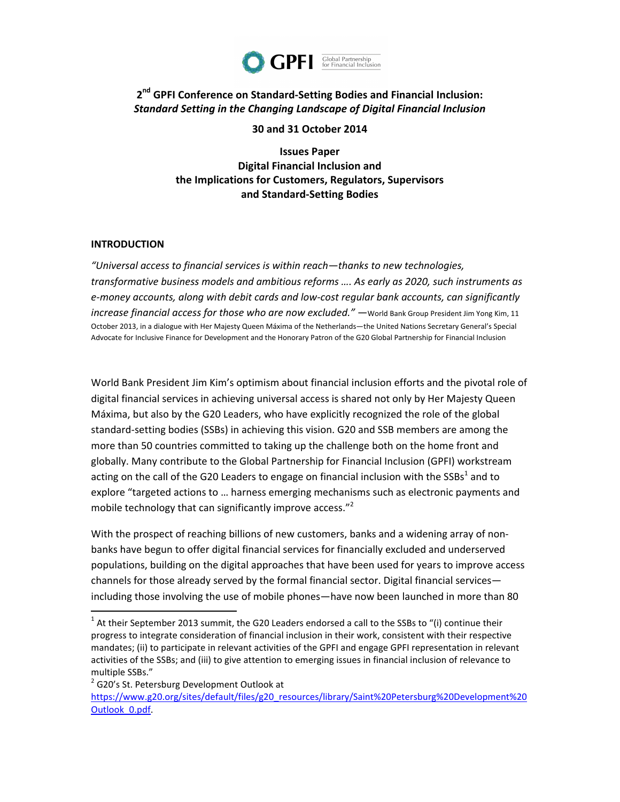

# 2<sup>nd</sup> GPFI Conference on Standard-Setting Bodies and Financial Inclusion: **Standard Setting in the Changing Landscape of Digital Financial Inclusion**

**30 and 31 October 2014**

**Issues Paper Digital Financial Inclusion and** the Implications for Customers, Regulators, Supervisors **and Standard-Setting Bodies**

#### **INTRODUCTION**

*"Universal access to financial services is within reach—thanks to new technologies,*  transformative business models and ambitious reforms .... As early as 2020, such instruments as e-money accounts, along with debit cards and low-cost regular bank accounts, can significantly *increase financial access for those who are now excluded."* —World Bank Group President Jim Yong Kim, 11 October 2013, in a dialogue with Her Majesty Queen Máxima of the Netherlands—the United Nations Secretary General's Special Advocate for Inclusive Finance for Development and the Honorary Patron of the G20 Global Partnership for Financial Inclusion

World Bank President Jim Kim's optimism about financial inclusion efforts and the pivotal role of digital financial services in achieving universal access is shared not only by Her Majesty Queen Máxima, but also by the G20 Leaders, who have explicitly recognized the role of the global standard-setting bodies (SSBs) in achieving this vision. G20 and SSB members are among the more than 50 countries committed to taking up the challenge both on the home front and globally. Many contribute to the Global Partnership for Financial Inclusion (GPFI) workstream acting on the call of the G20 Leaders to engage on financial inclusion with the SSBs<sup>1</sup> and to explore "targeted actions to ... harness emerging mechanisms such as electronic payments and mobile technology that can significantly improve access."<sup>2</sup>

With the prospect of reaching billions of new customers, banks and a widening array of nonbanks have begun to offer digital financial services for financially excluded and underserved populations, building on the digital approaches that have been used for years to improve access channels for those already served by the formal financial sector. Digital financial services including those involving the use of mobile phones—have now been launched in more than 80

<sup>2</sup> G20's St. Petersburg Development Outlook at

 $1$  At their September 2013 summit, the G20 Leaders endorsed a call to the SSBs to "(i) continue their progress to integrate consideration of financial inclusion in their work, consistent with their respective mandates; (ii) to participate in relevant activities of the GPFI and engage GPFI representation in relevant activities of the SSBs; and (iii) to give attention to emerging issues in financial inclusion of relevance to multiple SSBs."

https://www.g20.org/sites/default/files/g20\_resources/library/Saint%20Petersburg%20Development%20 Outlook\_0.pdf.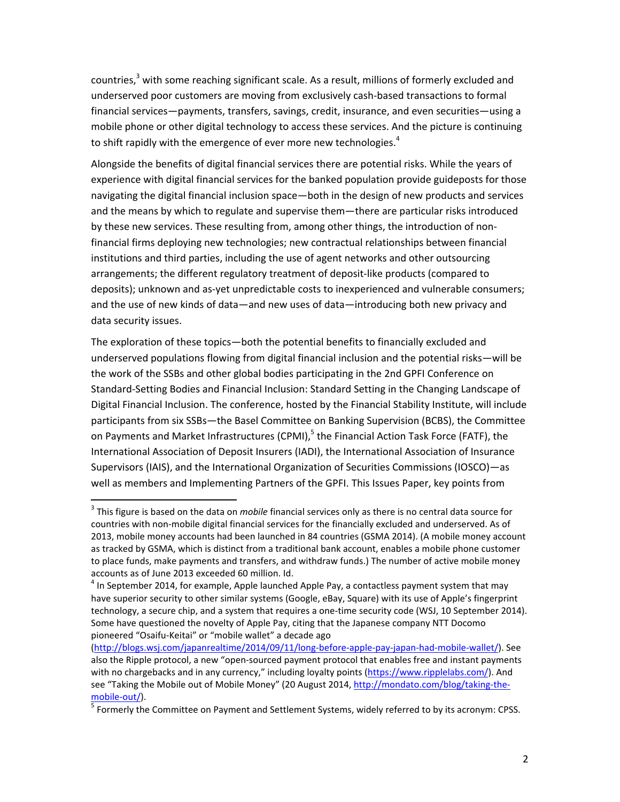countries,<sup>3</sup> with some reaching significant scale. As a result, millions of formerly excluded and underserved poor customers are moving from exclusively cash-based transactions to formal financial services—payments, transfers, savings, credit, insurance, and even securities—using a mobile phone or other digital technology to access these services. And the picture is continuing to shift rapidly with the emergence of ever more new technologies.<sup>4</sup>

Alongside the benefits of digital financial services there are potential risks. While the years of experience with digital financial services for the banked population provide guideposts for those navigating the digital financial inclusion space—both in the design of new products and services and the means by which to regulate and supervise them—there are particular risks introduced by these new services. These resulting from, among other things, the introduction of nonfinancial firms deploying new technologies; new contractual relationships between financial institutions and third parties, including the use of agent networks and other outsourcing arrangements; the different regulatory treatment of deposit-like products (compared to deposits); unknown and as-yet unpredictable costs to inexperienced and vulnerable consumers; and the use of new kinds of data—and new uses of data—introducing both new privacy and data security issues.

The exploration of these topics—both the potential benefits to financially excluded and underserved populations flowing from digital financial inclusion and the potential risks—will be the work of the SSBs and other global bodies participating in the 2nd GPFI Conference on Standard-Setting Bodies and Financial Inclusion: Standard Setting in the Changing Landscape of Digital Financial Inclusion. The conference, hosted by the Financial Stability Institute, will include participants from six SSBs-the Basel Committee on Banking Supervision (BCBS), the Committee on Payments and Market Infrastructures (CPMI),<sup>5</sup> the Financial Action Task Force (FATF), the International Association of Deposit Insurers (IADI), the International Association of Insurance Supervisors (IAIS), and the International Organization of Securities Commissions (IOSCO)—as well as members and Implementing Partners of the GPFI. This Issues Paper, key points from

<sup>&</sup>lt;sup>3</sup> This figure is based on the data on *mobile* financial services only as there is no central data source for countries with non-mobile digital financial services for the financially excluded and underserved. As of 2013, mobile money accounts had been launched in 84 countries (GSMA 2014). (A mobile money account as tracked by GSMA, which is distinct from a traditional bank account, enables a mobile phone customer to place funds, make payments and transfers, and withdraw funds.) The number of active mobile money accounts as of June 2013 exceeded 60 million. Id.

 $^4$  In September 2014, for example, Apple launched Apple Pay, a contactless payment system that may have superior security to other similar systems (Google, eBay, Square) with its use of Apple's fingerprint technology, a secure chip, and a system that requires a one-time security code (WSJ, 10 September 2014). Some have questioned the novelty of Apple Pay, citing that the Japanese company NTT Docomo pioneered "Osaifu-Keitai" or "mobile wallet" a decade ago

<sup>(</sup>http://blogs.wsj.com/japanrealtime/2014/09/11/long-before-apple-pay-japan-had-mobile-wallet/). See also the Ripple protocol, a new "open-sourced payment protocol that enables free and instant payments with no chargebacks and in any currency," including loyalty points (https://www.ripplelabs.com/). And see "Taking the Mobile out of Mobile Money" (20 August 2014, http://mondato.com/blog/taking-themobile-out/).

 $^5$  Formerly the Committee on Payment and Settlement Systems, widely referred to by its acronym: CPSS.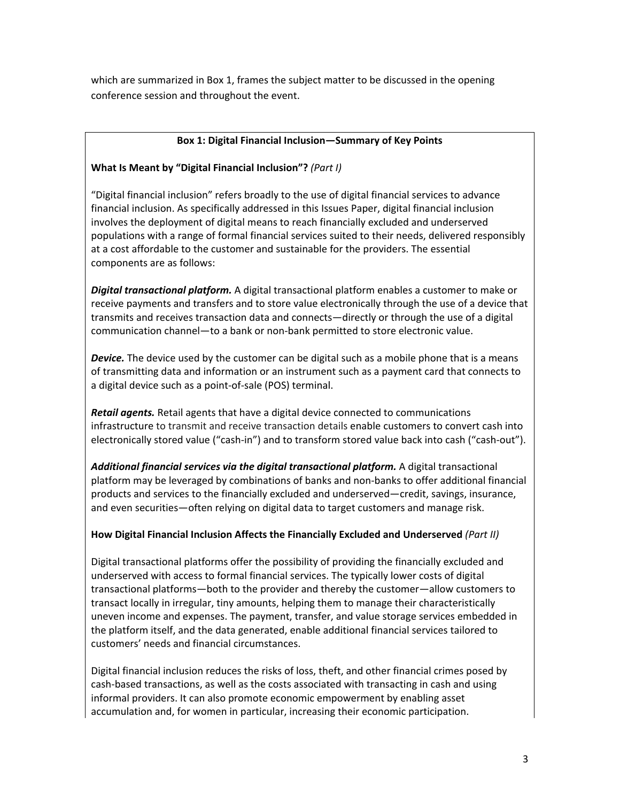which are summarized in Box 1, frames the subject matter to be discussed in the opening conference session and throughout the event.

## Box 1: Digital Financial Inclusion—Summary of Key Points

# **What Is Meant by "Digital Financial Inclusion"?** *(Part I)*

"Digital financial inclusion" refers broadly to the use of digital financial services to advance financial inclusion. As specifically addressed in this Issues Paper, digital financial inclusion involves the deployment of digital means to reach financially excluded and underserved populations with a range of formal financial services suited to their needs, delivered responsibly at a cost affordable to the customer and sustainable for the providers. The essential components are as follows:

**Digital transactional platform.** A digital transactional platform enables a customer to make or receive payments and transfers and to store value electronically through the use of a device that transmits and receives transaction data and connects—directly or through the use of a digital communication channel—to a bank or non-bank permitted to store electronic value.

**Device.** The device used by the customer can be digital such as a mobile phone that is a means of transmitting data and information or an instrument such as a payment card that connects to a digital device such as a point-of-sale (POS) terminal.

**Retail agents.** Retail agents that have a digital device connected to communications infrastructure to transmit and receive transaction details enable customers to convert cash into electronically stored value ("cash-in") and to transform stored value back into cash ("cash-out").

Additional financial services via the digital transactional platform. A digital transactional platform may be leveraged by combinations of banks and non-banks to offer additional financial products and services to the financially excluded and underserved—credit, savings, insurance, and even securities—often relying on digital data to target customers and manage risk.

## How Digital Financial Inclusion Affects the Financially Excluded and Underserved *(Part II)*

Digital transactional platforms offer the possibility of providing the financially excluded and underserved with access to formal financial services. The typically lower costs of digital transactional platforms—both to the provider and thereby the customer—allow customers to transact locally in irregular, tiny amounts, helping them to manage their characteristically uneven income and expenses. The payment, transfer, and value storage services embedded in the platform itself, and the data generated, enable additional financial services tailored to customers' needs and financial circumstances.

Digital financial inclusion reduces the risks of loss, theft, and other financial crimes posed by cash-based transactions, as well as the costs associated with transacting in cash and using informal providers. It can also promote economic empowerment by enabling asset accumulation and, for women in particular, increasing their economic participation.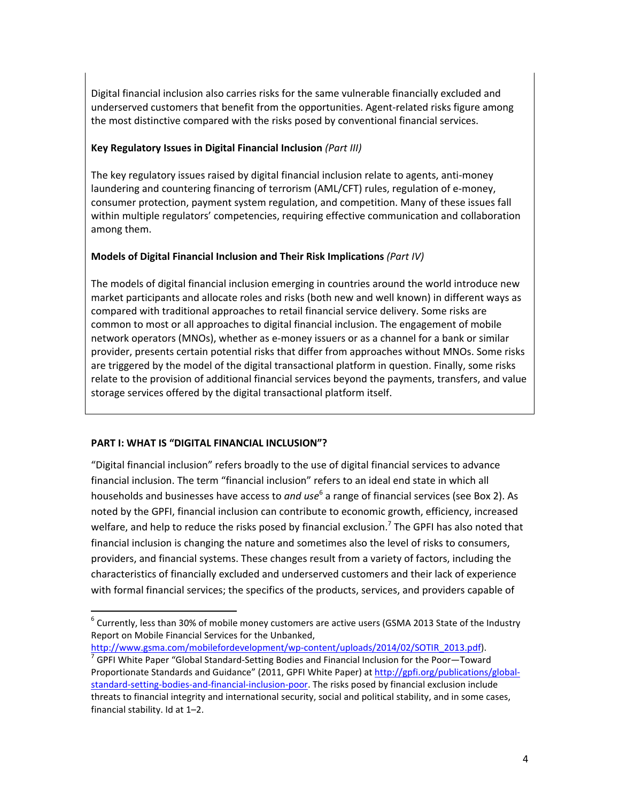Digital financial inclusion also carries risks for the same vulnerable financially excluded and underserved customers that benefit from the opportunities. Agent-related risks figure among the most distinctive compared with the risks posed by conventional financial services.

# **Key Regulatory Issues in Digital Financial Inclusion** *(Part III)*

The key regulatory issues raised by digital financial inclusion relate to agents, anti-money laundering and countering financing of terrorism (AML/CFT) rules, regulation of e-money, consumer protection, payment system regulation, and competition. Many of these issues fall within multiple regulators' competencies, requiring effective communication and collaboration among them.

## **Models of Digital Financial Inclusion and Their Risk Implications (Part IV)**

The models of digital financial inclusion emerging in countries around the world introduce new market participants and allocate roles and risks (both new and well known) in different ways as compared with traditional approaches to retail financial service delivery. Some risks are common to most or all approaches to digital financial inclusion. The engagement of mobile network operators (MNOs), whether as e-money issuers or as a channel for a bank or similar provider, presents certain potential risks that differ from approaches without MNOs. Some risks are triggered by the model of the digital transactional platform in question. Finally, some risks relate to the provision of additional financial services beyond the payments, transfers, and value storage services offered by the digital transactional platform itself.

## **PART I: WHAT IS "DIGITAL FINANCIAL INCLUSION"?**

 

"Digital financial inclusion" refers broadly to the use of digital financial services to advance financial inclusion. The term "financial inclusion" refers to an ideal end state in which all households and businesses have access to *and use*<sup>6</sup> a range of financial services (see Box 2). As noted by the GPFI, financial inclusion can contribute to economic growth, efficiency, increased welfare, and help to reduce the risks posed by financial exclusion.<sup>7</sup> The GPFI has also noted that financial inclusion is changing the nature and sometimes also the level of risks to consumers, providers, and financial systems. These changes result from a variety of factors, including the characteristics of financially excluded and underserved customers and their lack of experience with formal financial services; the specifics of the products, services, and providers capable of

http://www.gsma.com/mobilefordevelopment/wp-content/uploads/2014/02/SOTIR\_2013.pdf).

 $^6$  Currently, less than 30% of mobile money customers are active users (GSMA 2013 State of the Industry Report on Mobile Financial Services for the Unbanked,

 $\frac{7}{1}$  GPFI White Paper "Global Standard-Setting Bodies and Financial Inclusion for the Poor—Toward Proportionate Standards and Guidance" (2011, GPFI White Paper) at http://gpfi.org/publications/globalstandard-setting-bodies-and-financial-inclusion-poor. The risks posed by financial exclusion include threats to financial integrity and international security, social and political stability, and in some cases, financial stability. Id at  $1-2$ .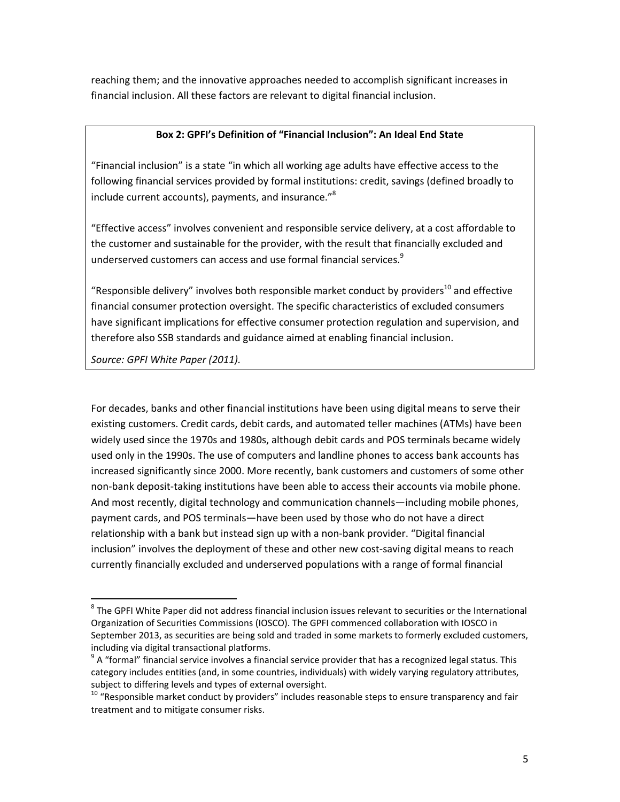reaching them; and the innovative approaches needed to accomplish significant increases in financial inclusion. All these factors are relevant to digital financial inclusion.

#### Box 2: GPFI's Definition of "Financial Inclusion": An Ideal End State

"Financial inclusion" is a state "in which all working age adults have effective access to the following financial services provided by formal institutions: credit, savings (defined broadly to include current accounts), payments, and insurance."<sup>8</sup>

"Effective access" involves convenient and responsible service delivery, at a cost affordable to the customer and sustainable for the provider, with the result that financially excluded and underserved customers can access and use formal financial services.<sup>9</sup>

"Responsible delivery" involves both responsible market conduct by providers<sup>10</sup> and effective financial consumer protection oversight. The specific characteristics of excluded consumers have significant implications for effective consumer protection regulation and supervision, and therefore also SSB standards and guidance aimed at enabling financial inclusion.

Source: GPFI White Paper (2011).

<u> 1989 - Johann Stein, fransk politik (d. 1989)</u>

For decades, banks and other financial institutions have been using digital means to serve their existing customers. Credit cards, debit cards, and automated teller machines (ATMs) have been widely used since the 1970s and 1980s, although debit cards and POS terminals became widely used only in the 1990s. The use of computers and landline phones to access bank accounts has increased significantly since 2000. More recently, bank customers and customers of some other non-bank deposit-taking institutions have been able to access their accounts via mobile phone. And most recently, digital technology and communication channels—including mobile phones, payment cards, and POS terminals—have been used by those who do not have a direct relationship with a bank but instead sign up with a non-bank provider. "Digital financial inclusion" involves the deployment of these and other new cost-saving digital means to reach currently financially excluded and underserved populations with a range of formal financial

 $^8$  The GPFI White Paper did not address financial inclusion issues relevant to securities or the International Organization of Securities Commissions (IOSCO). The GPFI commenced collaboration with IOSCO in September 2013, as securities are being sold and traded in some markets to formerly excluded customers, including via digital transactional platforms.

 $\rm{^9}$  A "formal" financial service involves a financial service provider that has a recognized legal status. This category includes entities (and, in some countries, individuals) with widely varying regulatory attributes, subject to differing levels and types of external oversight.<br>
<sup>10</sup> "Responsible market conduct by providers" includes reasonable steps to ensure transparency and fair

treatment and to mitigate consumer risks.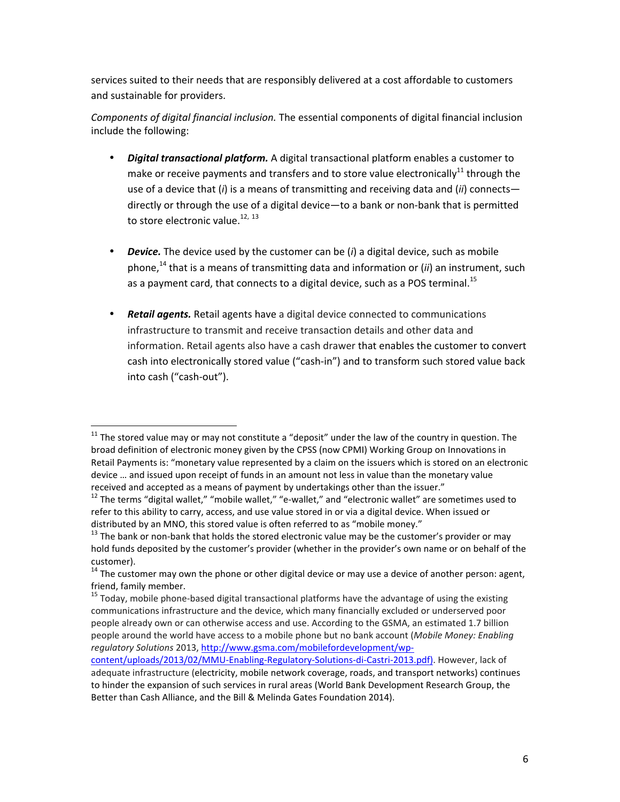services suited to their needs that are responsibly delivered at a cost affordable to customers and sustainable for providers.

Components of digital financial inclusion. The essential components of digital financial inclusion include the following:

- *Digital transactional platform.* A digital transactional platform enables a customer to make or receive payments and transfers and to store value electronically<sup>11</sup> through the use of a device that (*i*) is a means of transmitting and receiving data and (*ii*) connects directly or through the use of a digital device—to a bank or non-bank that is permitted to store electronic value.<sup>12, 13</sup>
- *Device.* The device used by the customer can be (*i*) a digital device, such as mobile phone,<sup>14</sup> that is a means of transmitting data and information or (*ii*) an instrument, such as a payment card, that connects to a digital device, such as a POS terminal.<sup>15</sup>
- **Retail agents.** Retail agents have a digital device connected to communications infrastructure to transmit and receive transaction details and other data and information. Retail agents also have a cash drawer that enables the customer to convert cash into electronically stored value ("cash-in") and to transform such stored value back into cash ("cash-out").

 $11$  The stored value may or may not constitute a "deposit" under the law of the country in question. The broad definition of electronic money given by the CPSS (now CPMI) Working Group on Innovations in Retail Payments is: "monetary value represented by a claim on the issuers which is stored on an electronic device ... and issued upon receipt of funds in an amount not less in value than the monetary value received and accepted as a means of payment by undertakings other than the issuer."

 $12$  The terms "digital wallet," "mobile wallet," "e-wallet," and "electronic wallet" are sometimes used to refer to this ability to carry, access, and use value stored in or via a digital device. When issued or distributed by an MNO, this stored value is often referred to as "mobile money."

 $13$  The bank or non-bank that holds the stored electronic value may be the customer's provider or may hold funds deposited by the customer's provider (whether in the provider's own name or on behalf of the

customer).<br> $14$  The customer may own the phone or other digital device or may use a device of another person: agent, friend, family member.<br><sup>15</sup> Today, mobile phone-based digital transactional platforms have the advantage of using the existing

communications infrastructure and the device, which many financially excluded or underserved poor people already own or can otherwise access and use. According to the GSMA, an estimated 1.7 billion people around the world have access to a mobile phone but no bank account (Mobile Money: Enabling *regulatory Solutions* 2013, http://www.gsma.com/mobilefordevelopment/wp-

content/uploads/2013/02/MMU-Enabling-Regulatory-Solutions-di-Castri-2013.pdf). However, lack of adequate infrastructure (electricity, mobile network coverage, roads, and transport networks) continues to hinder the expansion of such services in rural areas (World Bank Development Research Group, the Better than Cash Alliance, and the Bill & Melinda Gates Foundation 2014).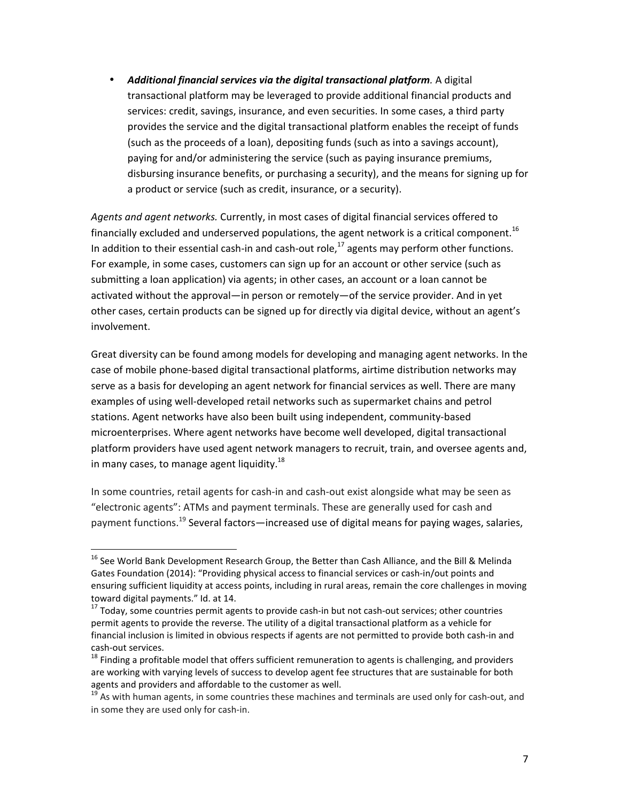**Additional financial services via the digital transactional platform**. A digital transactional platform may be leveraged to provide additional financial products and services: credit, savings, insurance, and even securities. In some cases, a third party provides the service and the digital transactional platform enables the receipt of funds (such as the proceeds of a loan), depositing funds (such as into a savings account), paying for and/or administering the service (such as paying insurance premiums, disbursing insurance benefits, or purchasing a security), and the means for signing up for a product or service (such as credit, insurance, or a security).

Agents and agent networks. Currently, in most cases of digital financial services offered to financially excluded and underserved populations, the agent network is a critical component.<sup>16</sup> In addition to their essential cash-in and cash-out role, $^{17}$  agents may perform other functions. For example, in some cases, customers can sign up for an account or other service (such as submitting a loan application) via agents; in other cases, an account or a loan cannot be activated without the approval—in person or remotely—of the service provider. And in yet other cases, certain products can be signed up for directly via digital device, without an agent's involvement.

Great diversity can be found among models for developing and managing agent networks. In the case of mobile phone-based digital transactional platforms, airtime distribution networks may serve as a basis for developing an agent network for financial services as well. There are many examples of using well-developed retail networks such as supermarket chains and petrol stations. Agent networks have also been built using independent, community-based microenterprises. Where agent networks have become well developed, digital transactional platform providers have used agent network managers to recruit, train, and oversee agents and, in many cases, to manage agent liquidity.<sup>18</sup>

In some countries, retail agents for cash-in and cash-out exist alongside what may be seen as "electronic agents": ATMs and payment terminals. These are generally used for cash and payment functions.<sup>19</sup> Several factors—increased use of digital means for paying wages, salaries,

<sup>&</sup>lt;sup>16</sup> See World Bank Development Research Group, the Better than Cash Alliance, and the Bill & Melinda Gates Foundation (2014): "Providing physical access to financial services or cash-in/out points and ensuring sufficient liquidity at access points, including in rural areas, remain the core challenges in moving toward digital payments." Id. at 14.<br><sup>17</sup> Today, some countries permit agents to provide cash-in but not cash-out services; other countries

permit agents to provide the reverse. The utility of a digital transactional platform as a vehicle for financial inclusion is limited in obvious respects if agents are not permitted to provide both cash-in and cash-out services.<br><sup>18</sup> Finding a profitable model that offers sufficient remuneration to agents is challenging, and providers

are working with varying levels of success to develop agent fee structures that are sustainable for both agents and providers and affordable to the customer as well.<br><sup>19</sup> As with human agents, in some countries these machines and terminals are used only for cash-out, and

in some they are used only for cash-in.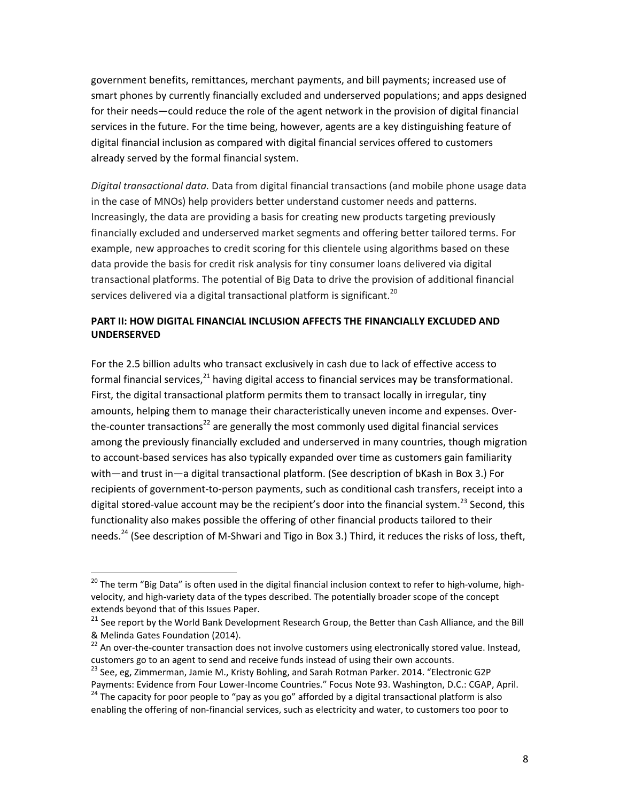government benefits, remittances, merchant payments, and bill payments; increased use of smart phones by currently financially excluded and underserved populations; and apps designed for their needs—could reduce the role of the agent network in the provision of digital financial services in the future. For the time being, however, agents are a key distinguishing feature of digital financial inclusion as compared with digital financial services offered to customers already served by the formal financial system.

Digital transactional data. Data from digital financial transactions (and mobile phone usage data in the case of MNOs) help providers better understand customer needs and patterns. Increasingly, the data are providing a basis for creating new products targeting previously financially excluded and underserved market segments and offering better tailored terms. For example, new approaches to credit scoring for this clientele using algorithms based on these data provide the basis for credit risk analysis for tiny consumer loans delivered via digital transactional platforms. The potential of Big Data to drive the provision of additional financial services delivered via a digital transactional platform is significant.<sup>20</sup>

# **PART II: HOW DIGITAL FINANCIAL INCLUSION AFFECTS THE FINANCIALLY EXCLUDED AND UNDERSERVED**

For the 2.5 billion adults who transact exclusively in cash due to lack of effective access to formal financial services, $^{21}$  having digital access to financial services may be transformational. First, the digital transactional platform permits them to transact locally in irregular, tiny amounts, helping them to manage their characteristically uneven income and expenses. Overthe-counter transactions<sup>22</sup> are generally the most commonly used digital financial services among the previously financially excluded and underserved in many countries, though migration to account-based services has also typically expanded over time as customers gain familiarity with—and trust in—a digital transactional platform. (See description of bKash in Box 3.) For recipients of government-to-person payments, such as conditional cash transfers, receipt into a digital stored-value account may be the recipient's door into the financial system.<sup>23</sup> Second, this functionality also makes possible the offering of other financial products tailored to their needs.<sup>24</sup> (See description of M-Shwari and Tigo in Box 3.) Third, it reduces the risks of loss, theft,

 $^{20}$  The term "Big Data" is often used in the digital financial inclusion context to refer to high-volume, highvelocity, and high-variety data of the types described. The potentially broader scope of the concept extends beyond that of this Issues Paper.

 $21$  See report by the World Bank Development Research Group, the Better than Cash Alliance, and the Bill & Melinda Gates Foundation (2014).

<sup>&</sup>lt;sup>22</sup> An over-the-counter transaction does not involve customers using electronically stored value. Instead, customers go to an agent to send and receive funds instead of using their own accounts.

<sup>&</sup>lt;sup>23</sup> See, eg, Zimmerman, Jamie M., Kristy Bohling, and Sarah Rotman Parker. 2014. "Electronic G2P Payments: Evidence from Four Lower-Income Countries." Focus Note 93. Washington, D.C.: CGAP, April.<br><sup>24</sup> The capacity for poor people to "pay as you go" afforded by a digital transactional platform is also

enabling the offering of non-financial services, such as electricity and water, to customers too poor to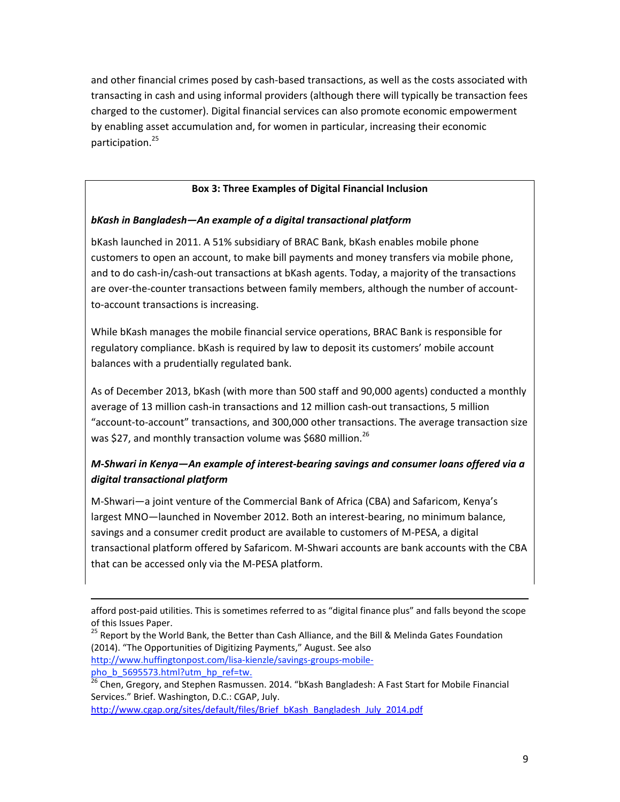and other financial crimes posed by cash-based transactions, as well as the costs associated with transacting in cash and using informal providers (although there will typically be transaction fees charged to the customer). Digital financial services can also promote economic empowerment by enabling asset accumulation and, for women in particular, increasing their economic participation.<sup>25</sup>

# **Box 3: Three Examples of Digital Financial Inclusion**

# **bKash in Bangladesh—An example of a digital transactional platform**

bKash launched in 2011. A 51% subsidiary of BRAC Bank, bKash enables mobile phone customers to open an account, to make bill payments and money transfers via mobile phone, and to do cash-in/cash-out transactions at bKash agents. Today, a majority of the transactions are over-the-counter transactions between family members, although the number of accountto-account transactions is increasing.

While bKash manages the mobile financial service operations, BRAC Bank is responsible for regulatory compliance. bKash is required by law to deposit its customers' mobile account balances with a prudentially regulated bank.

As of December 2013, bKash (with more than 500 staff and 90,000 agents) conducted a monthly average of 13 million cash-in transactions and 12 million cash-out transactions, 5 million "account-to-account" transactions, and 300,000 other transactions. The average transaction size was \$27, and monthly transaction volume was \$680 million.<sup>26</sup>

# *M-Shwari in Kenya—An example of interest-bearing savings and consumer loans offered via a digital transactional platform*

M-Shwari—a joint venture of the Commercial Bank of Africa (CBA) and Safaricom, Kenya's largest MNO—launched in November 2012. Both an interest-bearing, no minimum balance, savings and a consumer credit product are available to customers of M-PESA, a digital transactional platform offered by Safaricom. M-Shwari accounts are bank accounts with the CBA that can be accessed only via the M-PESA platform.

pho\_b\_5695573.html?utm\_hp\_ref=tw.

http://www.cgap.org/sites/default/files/Brief\_bKash\_Bangladesh\_July\_2014.pdf

<sup>&</sup>lt;u> 1989 - Andrea Santa Andrea Andrea Andrea Andrea Andrea Andrea Andrea Andrea Andrea Andrea Andrea Andrea Andr</u> afford post-paid utilities. This is sometimes referred to as "digital finance plus" and falls beyond the scope of this Issues Paper.

<sup>&</sup>lt;sup>25</sup> Report by the World Bank, the Better than Cash Alliance, and the Bill & Melinda Gates Foundation (2014). "The Opportunities of Digitizing Payments," August. See also http://www.huffingtonpost.com/lisa-kienzle/savings-groups-mobile-

<sup>&</sup>lt;sup>26</sup> Chen, Gregory, and Stephen Rasmussen. 2014. "bKash Bangladesh: A Fast Start for Mobile Financial Services." Brief. Washington, D.C.: CGAP, July.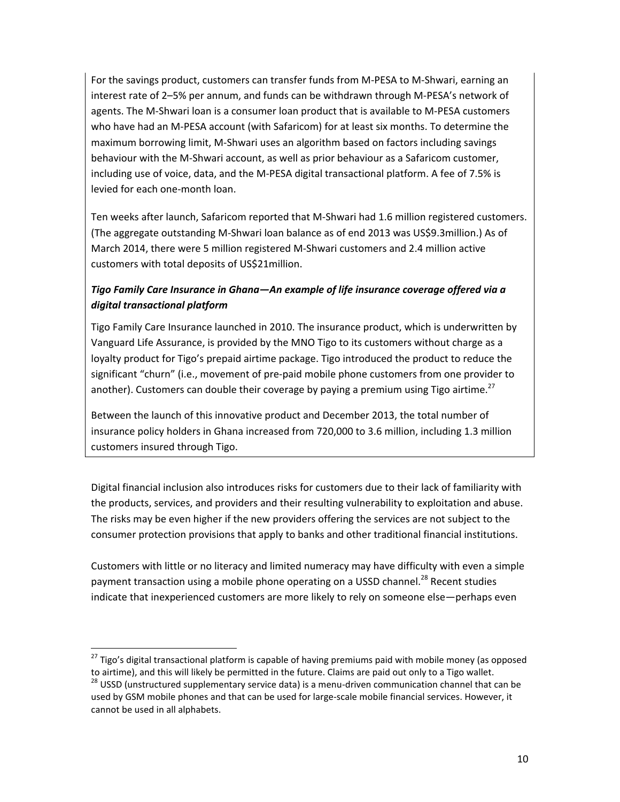For the savings product, customers can transfer funds from M-PESA to M-Shwari, earning an interest rate of 2-5% per annum, and funds can be withdrawn through M-PESA's network of agents. The M-Shwari loan is a consumer loan product that is available to M-PESA customers who have had an M-PESA account (with Safaricom) for at least six months. To determine the maximum borrowing limit, M-Shwari uses an algorithm based on factors including savings behaviour with the M-Shwari account, as well as prior behaviour as a Safaricom customer, including use of voice, data, and the M-PESA digital transactional platform. A fee of 7.5% is levied for each one-month loan.

Ten weeks after launch, Safaricom reported that M-Shwari had 1.6 million registered customers. (The aggregate outstanding M-Shwari loan balance as of end 2013 was US\$9.3million.) As of March 2014, there were 5 million registered M-Shwari customers and 2.4 million active customers with total deposits of US\$21million.

# Tigo Family Care Insurance in Ghana—An example of life insurance coverage offered via a *digital transactional platform*

Tigo Family Care Insurance launched in 2010. The insurance product, which is underwritten by Vanguard Life Assurance, is provided by the MNO Tigo to its customers without charge as a loyalty product for Tigo's prepaid airtime package. Tigo introduced the product to reduce the significant "churn" (i.e., movement of pre-paid mobile phone customers from one provider to another). Customers can double their coverage by paying a premium using Tigo airtime.<sup>27</sup>

Between the launch of this innovative product and December 2013, the total number of insurance policy holders in Ghana increased from 720,000 to 3.6 million, including 1.3 million customers insured through Tigo.

Digital financial inclusion also introduces risks for customers due to their lack of familiarity with the products, services, and providers and their resulting vulnerability to exploitation and abuse. The risks may be even higher if the new providers offering the services are not subject to the consumer protection provisions that apply to banks and other traditional financial institutions.

Customers with little or no literacy and limited numeracy may have difficulty with even a simple payment transaction using a mobile phone operating on a USSD channel.<sup>28</sup> Recent studies indicate that inexperienced customers are more likely to rely on someone else—perhaps even

<sup>&</sup>lt;sup>27</sup> Tigo's digital transactional platform is capable of having premiums paid with mobile money (as opposed to airtime), and this will likely be permitted in the future. Claims are paid out only to a Tigo wallet.

 $28$  USSD (unstructured supplementary service data) is a menu-driven communication channel that can be used by GSM mobile phones and that can be used for large-scale mobile financial services. However, it cannot be used in all alphabets.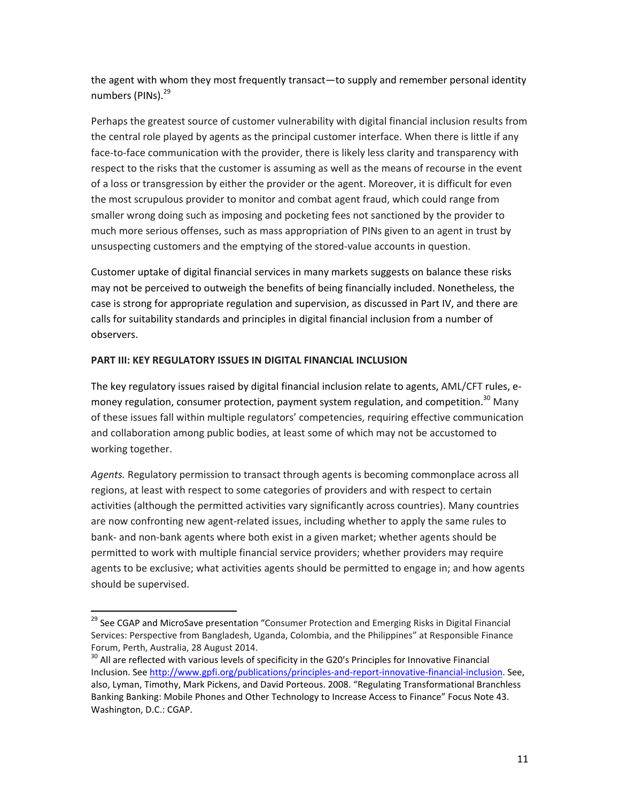the agent with whom they most frequently transact—to supply and remember personal identity numbers (PINs).<sup>29</sup>

Perhaps the greatest source of customer vulnerability with digital financial inclusion results from the central role played by agents as the principal customer interface. When there is little if any face-to-face communication with the provider, there is likely less clarity and transparency with respect to the risks that the customer is assuming as well as the means of recourse in the event of a loss or transgression by either the provider or the agent. Moreover, it is difficult for even the most scrupulous provider to monitor and combat agent fraud, which could range from smaller wrong doing such as imposing and pocketing fees not sanctioned by the provider to much more serious offenses, such as mass appropriation of PINs given to an agent in trust by unsuspecting customers and the emptying of the stored-value accounts in question.

Customer uptake of digital financial services in many markets suggests on balance these risks may not be perceived to outweigh the benefits of being financially included. Nonetheless, the case is strong for appropriate regulation and supervision, as discussed in Part IV, and there are calls for suitability standards and principles in digital financial inclusion from a number of observers. 

## **PART III: KEY REGULATORY ISSUES IN DIGITAL FINANCIAL INCLUSION**

 

The key regulatory issues raised by digital financial inclusion relate to agents, AML/CFT rules, emoney regulation, consumer protection, payment system regulation, and competition.<sup>30</sup> Many of these issues fall within multiple regulators' competencies, requiring effective communication and collaboration among public bodies, at least some of which may not be accustomed to working together.

Agents. Regulatory permission to transact through agents is becoming commonplace across all regions, at least with respect to some categories of providers and with respect to certain activities (although the permitted activities vary significantly across countries). Many countries are now confronting new agent-related issues, including whether to apply the same rules to bank- and non-bank agents where both exist in a given market; whether agents should be permitted to work with multiple financial service providers; whether providers may require agents to be exclusive; what activities agents should be permitted to engage in; and how agents should be supervised.

<sup>&</sup>lt;sup>29</sup> See CGAP and MicroSave presentation "Consumer Protection and Emerging Risks in Digital Financial Services: Perspective from Bangladesh, Uganda, Colombia, and the Philippines" at Responsible Finance Forum, Perth, Australia, 28 August 2014.

 $30$  All are reflected with various levels of specificity in the G20's Principles for Innovative Financial Inclusion. See http://www.gpfi.org/publications/principles-and-report-innovative-financial-inclusion. See, also, Lyman, Timothy, Mark Pickens, and David Porteous. 2008. "Regulating Transformational Branchless Banking Banking: Mobile Phones and Other Technology to Increase Access to Finance" Focus Note 43. Washington, D.C.: CGAP.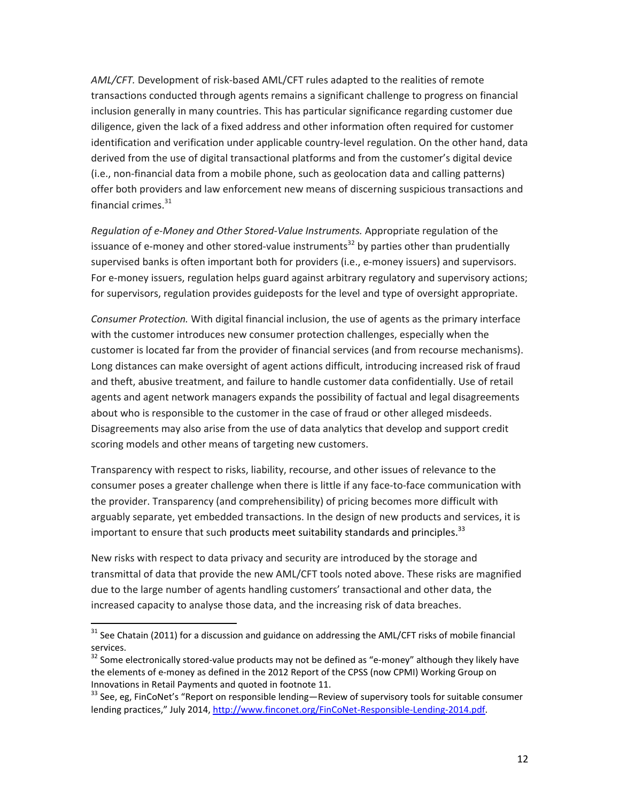AML/CFT. Development of risk-based AML/CFT rules adapted to the realities of remote transactions conducted through agents remains a significant challenge to progress on financial inclusion generally in many countries. This has particular significance regarding customer due diligence, given the lack of a fixed address and other information often required for customer identification and verification under applicable country-level regulation. On the other hand, data derived from the use of digital transactional platforms and from the customer's digital device  $(i.e.,$  non-financial data from a mobile phone, such as geolocation data and calling patterns) offer both providers and law enforcement new means of discerning suspicious transactions and financial crimes. $^{31}$ 

Regulation of e-Money and Other Stored-Value Instruments. Appropriate regulation of the issuance of e-money and other stored-value instruments<sup>32</sup> by parties other than prudentially supervised banks is often important both for providers (i.e., e-money issuers) and supervisors. For e-money issuers, regulation helps guard against arbitrary regulatory and supervisory actions; for supervisors, regulation provides guideposts for the level and type of oversight appropriate.

*Consumer Protection.* With digital financial inclusion, the use of agents as the primary interface with the customer introduces new consumer protection challenges, especially when the customer is located far from the provider of financial services (and from recourse mechanisms). Long distances can make oversight of agent actions difficult, introducing increased risk of fraud and theft, abusive treatment, and failure to handle customer data confidentially. Use of retail agents and agent network managers expands the possibility of factual and legal disagreements about who is responsible to the customer in the case of fraud or other alleged misdeeds. Disagreements may also arise from the use of data analytics that develop and support credit scoring models and other means of targeting new customers.

Transparency with respect to risks, liability, recourse, and other issues of relevance to the consumer poses a greater challenge when there is little if any face-to-face communication with the provider. Transparency (and comprehensibility) of pricing becomes more difficult with arguably separate, yet embedded transactions. In the design of new products and services, it is important to ensure that such products meet suitability standards and principles.<sup>33</sup>

New risks with respect to data privacy and security are introduced by the storage and transmittal of data that provide the new AML/CFT tools noted above. These risks are magnified due to the large number of agents handling customers' transactional and other data, the increased capacity to analyse those data, and the increasing risk of data breaches.

 $31$  See Chatain (2011) for a discussion and guidance on addressing the AML/CFT risks of mobile financial services.<br> $32$  Some electronically stored-value products may not be defined as "e-money" although they likely have

the elements of e-money as defined in the 2012 Report of the CPSS (now CPMI) Working Group on Innovations in Retail Payments and quoted in footnote 11.<br><sup>33</sup> See, eg, FinCoNet's "Report on responsible lending—Review of supervisory tools for suitable consumer

lending practices," July 2014, http://www.finconet.org/FinCoNet-Responsible-Lending-2014.pdf.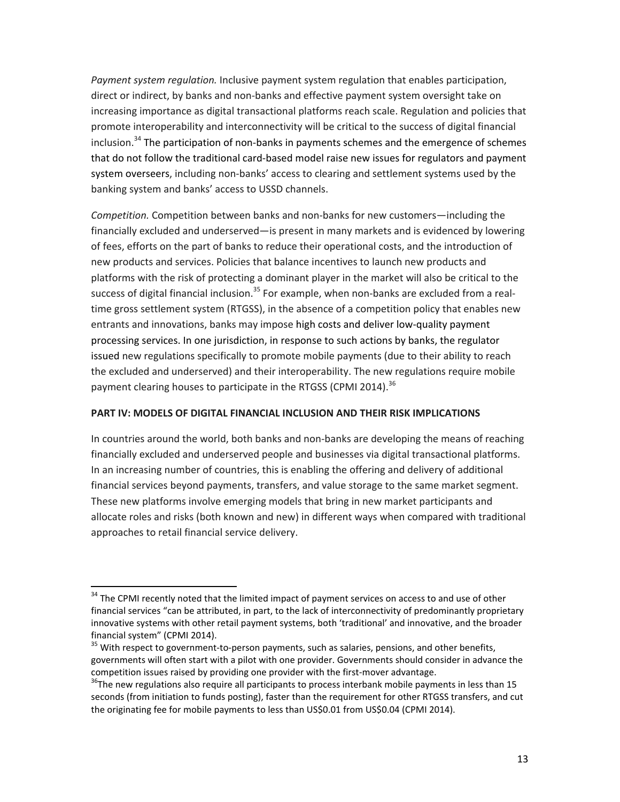Payment system regulation. Inclusive payment system regulation that enables participation, direct or indirect, by banks and non-banks and effective payment system oversight take on increasing importance as digital transactional platforms reach scale. Regulation and policies that promote interoperability and interconnectivity will be critical to the success of digital financial inclusion.<sup>34</sup> The participation of non-banks in payments schemes and the emergence of schemes that do not follow the traditional card-based model raise new issues for regulators and payment system overseers, including non-banks' access to clearing and settlement systems used by the banking system and banks' access to USSD channels.

*Competition*. Competition between banks and non-banks for new customers—including the financially excluded and underserved—is present in many markets and is evidenced by lowering of fees, efforts on the part of banks to reduce their operational costs, and the introduction of new products and services. Policies that balance incentives to launch new products and platforms with the risk of protecting a dominant player in the market will also be critical to the success of digital financial inclusion.<sup>35</sup> For example, when non-banks are excluded from a realtime gross settlement system (RTGSS), in the absence of a competition policy that enables new entrants and innovations, banks may impose high costs and deliver low-quality payment processing services. In one jurisdiction, in response to such actions by banks, the regulator issued new regulations specifically to promote mobile payments (due to their ability to reach the excluded and underserved) and their interoperability. The new regulations require mobile payment clearing houses to participate in the RTGSS (CPMI 2014).<sup>36</sup>

## **PART IV: MODELS OF DIGITAL FINANCIAL INCLUSION AND THEIR RISK IMPLICATIONS**

In countries around the world, both banks and non-banks are developing the means of reaching financially excluded and underserved people and businesses via digital transactional platforms. In an increasing number of countries, this is enabling the offering and delivery of additional financial services beyond payments, transfers, and value storage to the same market segment. These new platforms involve emerging models that bring in new market participants and allocate roles and risks (both known and new) in different ways when compared with traditional approaches to retail financial service delivery.

<sup>&</sup>lt;sup>34</sup> The CPMI recently noted that the limited impact of payment services on access to and use of other financial services "can be attributed, in part, to the lack of interconnectivity of predominantly proprietary innovative systems with other retail payment systems, both 'traditional' and innovative, and the broader financial system" (CPMI 2014).

<sup>&</sup>lt;sup>35</sup> With respect to government-to-person payments, such as salaries, pensions, and other benefits, governments will often start with a pilot with one provider. Governments should consider in advance the competition issues raised by providing one provider with the first-mover advantage.

 $36$ The new regulations also require all participants to process interbank mobile payments in less than 15 seconds (from initiation to funds posting), faster than the requirement for other RTGSS transfers, and cut the originating fee for mobile payments to less than US\$0.01 from US\$0.04 (CPMI 2014).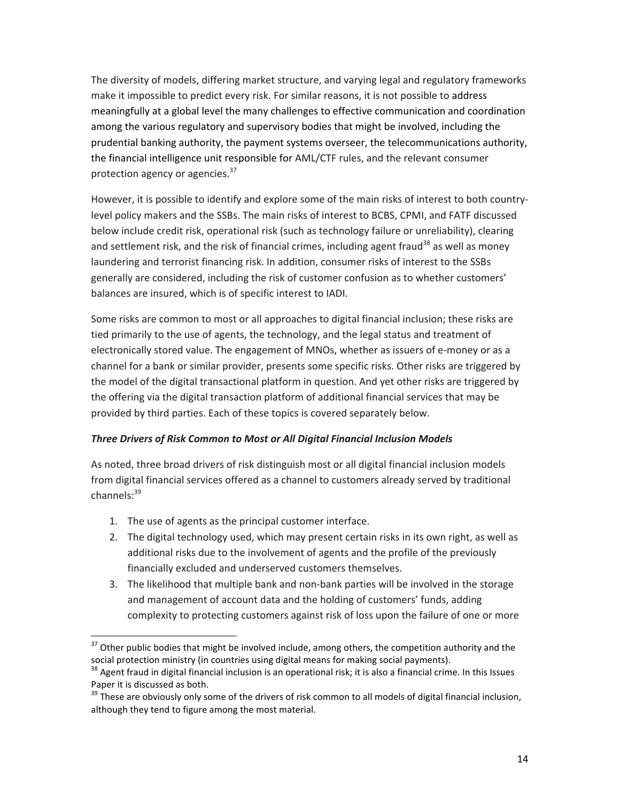The diversity of models, differing market structure, and varying legal and regulatory frameworks make it impossible to predict every risk. For similar reasons, it is not possible to address meaningfully at a global level the many challenges to effective communication and coordination among the various regulatory and supervisory bodies that might be involved, including the prudential banking authority, the payment systems overseer, the telecommunications authority, the financial intelligence unit responsible for AML/CTF rules, and the relevant consumer protection agency or agencies.<sup>37</sup>

However, it is possible to identify and explore some of the main risks of interest to both countrylevel policy makers and the SSBs. The main risks of interest to BCBS, CPMI, and FATF discussed below include credit risk, operational risk (such as technology failure or unreliability), clearing and settlement risk, and the risk of financial crimes, including agent fraud<sup>38</sup> as well as money laundering and terrorist financing risk. In addition, consumer risks of interest to the SSBs generally are considered, including the risk of customer confusion as to whether customers' balances are insured, which is of specific interest to IADI.

Some risks are common to most or all approaches to digital financial inclusion; these risks are tied primarily to the use of agents, the technology, and the legal status and treatment of electronically stored value. The engagement of MNOs, whether as issuers of e-money or as a channel for a bank or similar provider, presents some specific risks. Other risks are triggered by the model of the digital transactional platform in question. And yet other risks are triggered by the offering via the digital transaction platform of additional financial services that may be provided by third parties. Each of these topics is covered separately below.

## **Three Drivers of Risk Common to Most or All Digital Financial Inclusion Models**

As noted, three broad drivers of risk distinguish most or all digital financial inclusion models from digital financial services offered as a channel to customers already served by traditional channels:<sup>39</sup>

1. The use of agents as the principal customer interface.

- 2. The digital technology used, which may present certain risks in its own right, as well as additional risks due to the involvement of agents and the profile of the previously financially excluded and underserved customers themselves.
- 3. The likelihood that multiple bank and non-bank parties will be involved in the storage and management of account data and the holding of customers' funds, adding complexity to protecting customers against risk of loss upon the failure of one or more

 $37$  Other public bodies that might be involved include, among others, the competition authority and the social protection ministry (in countries using digital means for making social payments).

 $38$  Agent fraud in digital financial inclusion is an operational risk; it is also a financial crime. In this Issues Paper it is discussed as both.

 $39$  These are obviously only some of the drivers of risk common to all models of digital financial inclusion, although they tend to figure among the most material.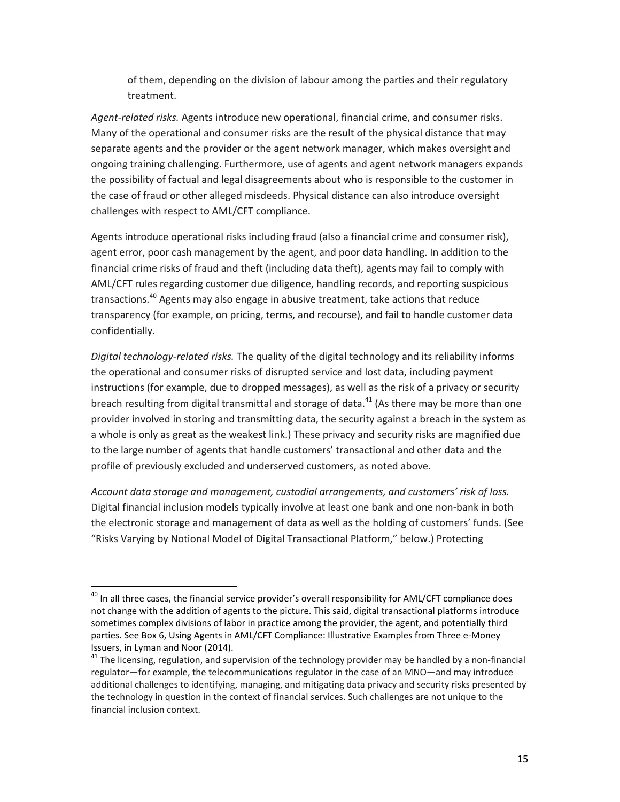of them, depending on the division of labour among the parties and their regulatory treatment.

Agent-related risks. Agents introduce new operational, financial crime, and consumer risks. Many of the operational and consumer risks are the result of the physical distance that may separate agents and the provider or the agent network manager, which makes oversight and ongoing training challenging. Furthermore, use of agents and agent network managers expands the possibility of factual and legal disagreements about who is responsible to the customer in the case of fraud or other alleged misdeeds. Physical distance can also introduce oversight challenges with respect to AML/CFT compliance.

Agents introduce operational risks including fraud (also a financial crime and consumer risk), agent error, poor cash management by the agent, and poor data handling. In addition to the financial crime risks of fraud and theft (including data theft), agents may fail to comply with AML/CFT rules regarding customer due diligence, handling records, and reporting suspicious transactions.<sup>40</sup> Agents may also engage in abusive treatment, take actions that reduce transparency (for example, on pricing, terms, and recourse), and fail to handle customer data confidentially.

Digital technology-related risks. The quality of the digital technology and its reliability informs the operational and consumer risks of disrupted service and lost data, including payment instructions (for example, due to dropped messages), as well as the risk of a privacy or security breach resulting from digital transmittal and storage of data.<sup>41</sup> (As there may be more than one provider involved in storing and transmitting data, the security against a breach in the system as a whole is only as great as the weakest link.) These privacy and security risks are magnified due to the large number of agents that handle customers' transactional and other data and the profile of previously excluded and underserved customers, as noted above.

Account data storage and management, custodial arrangements, and customers' risk of loss. Digital financial inclusion models typically involve at least one bank and one non-bank in both the electronic storage and management of data as well as the holding of customers' funds. (See "Risks Varying by Notional Model of Digital Transactional Platform," below.) Protecting

<sup>&</sup>lt;sup>40</sup> In all three cases, the financial service provider's overall responsibility for AML/CFT compliance does not change with the addition of agents to the picture. This said, digital transactional platforms introduce sometimes complex divisions of labor in practice among the provider, the agent, and potentially third parties. See Box 6, Using Agents in AML/CFT Compliance: Illustrative Examples from Three e-Money Issuers, in Lyman and Noor (2014).<br><sup>41</sup> The licensing, regulation, and supervision of the technology provider may be handled by a non-financial

regulator—for example, the telecommunications regulator in the case of an MNO—and may introduce additional challenges to identifying, managing, and mitigating data privacy and security risks presented by the technology in question in the context of financial services. Such challenges are not unique to the financial inclusion context.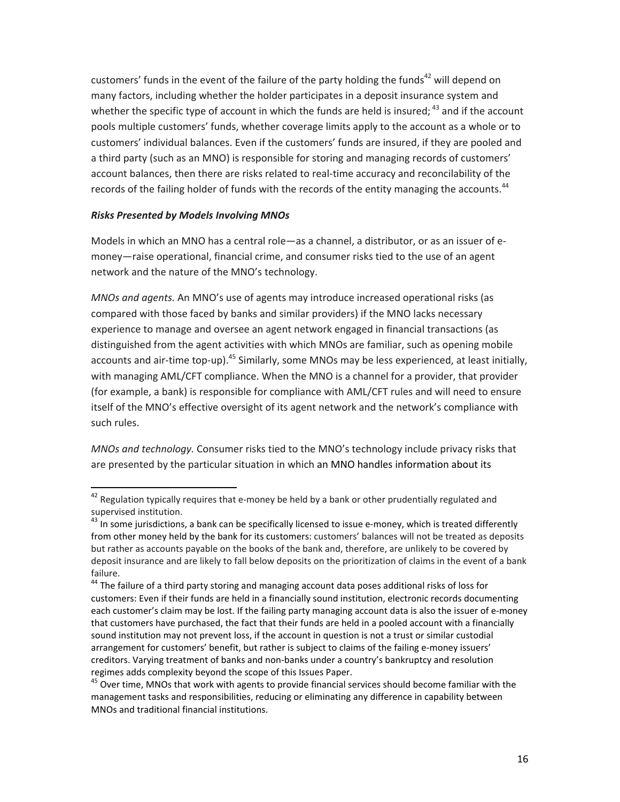customers' funds in the event of the failure of the party holding the funds<sup>42</sup> will depend on many factors, including whether the holder participates in a deposit insurance system and whether the specific type of account in which the funds are held is insured;  $^{43}$  and if the account pools multiple customers' funds, whether coverage limits apply to the account as a whole or to customers' individual balances. Even if the customers' funds are insured, if they are pooled and a third party (such as an MNO) is responsible for storing and managing records of customers' account balances, then there are risks related to real-time accuracy and reconcilability of the records of the failing holder of funds with the records of the entity managing the accounts.<sup>44</sup>

## *Risks Presented by Models Involving MNOs*

<u> 1989 - Johann Stein, fransk politik (d. 1989)</u>

Models in which an MNO has a central role—as a channel, a distributor, or as an issuer of emoney—raise operational, financial crime, and consumer risks tied to the use of an agent network and the nature of the MNO's technology.

*MNOs and agents.* An MNO's use of agents may introduce increased operational risks (as compared with those faced by banks and similar providers) if the MNO lacks necessary experience to manage and oversee an agent network engaged in financial transactions (as distinguished from the agent activities with which MNOs are familiar, such as opening mobile accounts and air-time top-up).<sup>45</sup> Similarly, some MNOs may be less experienced, at least initially, with managing AML/CFT compliance. When the MNO is a channel for a provider, that provider (for example, a bank) is responsible for compliance with AML/CFT rules and will need to ensure itself of the MNO's effective oversight of its agent network and the network's compliance with such rules.

*MNOs and technology.* Consumer risks tied to the MNO's technology include privacy risks that are presented by the particular situation in which an MNO handles information about its

 $42$  Regulation typically requires that e-money be held by a bank or other prudentially regulated and supervised institution.

 $43$  In some jurisdictions, a bank can be specifically licensed to issue e-money, which is treated differently from other money held by the bank for its customers: customers' balances will not be treated as deposits but rather as accounts payable on the books of the bank and, therefore, are unlikely to be covered by deposit insurance and are likely to fall below deposits on the prioritization of claims in the event of a bank failure.

<sup>&</sup>lt;sup>44</sup> The failure of a third party storing and managing account data poses additional risks of loss for customers: Even if their funds are held in a financially sound institution, electronic records documenting each customer's claim may be lost. If the failing party managing account data is also the issuer of e-money that customers have purchased, the fact that their funds are held in a pooled account with a financially sound institution may not prevent loss, if the account in question is not a trust or similar custodial arrangement for customers' benefit, but rather is subject to claims of the failing e-money issuers' creditors. Varying treatment of banks and non-banks under a country's bankruptcy and resolution regimes adds complexity beyond the scope of this Issues Paper.

 $45$  Over time, MNOs that work with agents to provide financial services should become familiar with the management tasks and responsibilities, reducing or eliminating any difference in capability between MNOs and traditional financial institutions.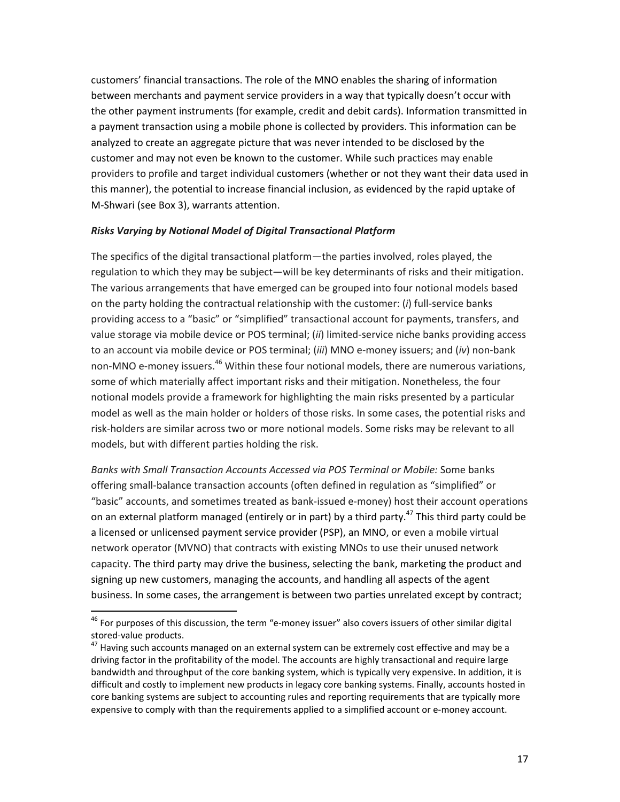customers' financial transactions. The role of the MNO enables the sharing of information between merchants and payment service providers in a way that typically doesn't occur with the other payment instruments (for example, credit and debit cards). Information transmitted in a payment transaction using a mobile phone is collected by providers. This information can be analyzed to create an aggregate picture that was never intended to be disclosed by the customer and may not even be known to the customer. While such practices may enable providers to profile and target individual customers (whether or not they want their data used in this manner), the potential to increase financial inclusion, as evidenced by the rapid uptake of M-Shwari (see Box 3), warrants attention.

## *Risks Varying by Notional Model of Digital Transactional Platform*

The specifics of the digital transactional platform—the parties involved, roles played, the regulation to which they may be subject—will be key determinants of risks and their mitigation. The various arrangements that have emerged can be grouped into four notional models based on the party holding the contractual relationship with the customer: (*i*) full-service banks providing access to a "basic" or "simplified" transactional account for payments, transfers, and value storage via mobile device or POS terminal; (ii) limited-service niche banks providing access to an account via mobile device or POS terminal; (*iii*) MNO e-money issuers; and (*iv*) non-bank non-MNO e-money issuers.<sup>46</sup> Within these four notional models, there are numerous variations, some of which materially affect important risks and their mitigation. Nonetheless, the four notional models provide a framework for highlighting the main risks presented by a particular model as well as the main holder or holders of those risks. In some cases, the potential risks and risk-holders are similar across two or more notional models. Some risks may be relevant to all models, but with different parties holding the risk.

Banks with Small Transaction Accounts Accessed via POS Terminal or Mobile: Some banks offering small-balance transaction accounts (often defined in regulation as "simplified" or "basic" accounts, and sometimes treated as bank-issued e-money) host their account operations on an external platform managed (entirely or in part) by a third party.<sup>47</sup> This third party could be a licensed or unlicensed payment service provider (PSP), an MNO, or even a mobile virtual network operator (MVNO) that contracts with existing MNOs to use their unused network capacity. The third party may drive the business, selecting the bank, marketing the product and signing up new customers, managing the accounts, and handling all aspects of the agent business. In some cases, the arrangement is between two parties unrelated except by contract;

<sup>&</sup>lt;sup>46</sup> For purposes of this discussion, the term "e-money issuer" also covers issuers of other similar digital stored-value products.

 $47$  Having such accounts managed on an external system can be extremely cost effective and may be a driving factor in the profitability of the model. The accounts are highly transactional and require large bandwidth and throughput of the core banking system, which is typically very expensive. In addition, it is difficult and costly to implement new products in legacy core banking systems. Finally, accounts hosted in core banking systems are subject to accounting rules and reporting requirements that are typically more expensive to comply with than the requirements applied to a simplified account or e-money account.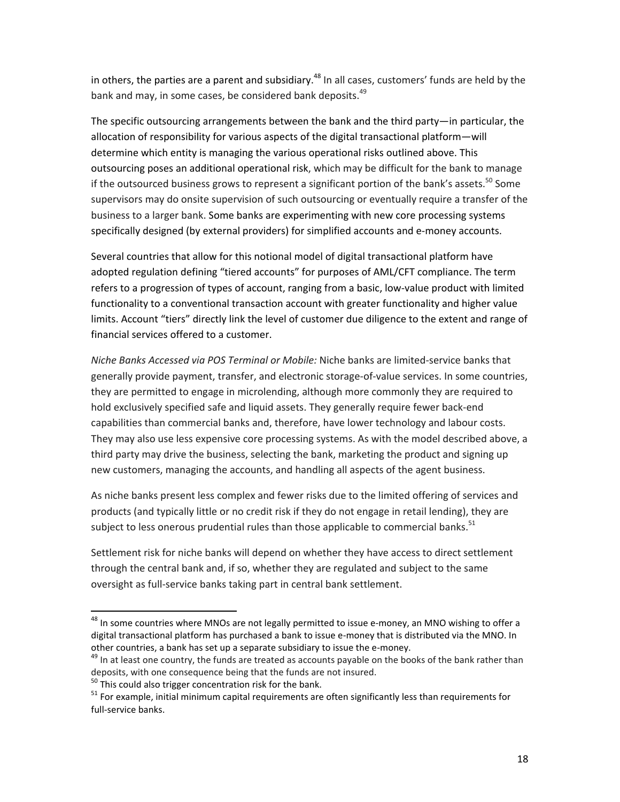in others, the parties are a parent and subsidiary.<sup>48</sup> In all cases, customers' funds are held by the bank and may, in some cases, be considered bank deposits.<sup>49</sup>

The specific outsourcing arrangements between the bank and the third party—in particular, the allocation of responsibility for various aspects of the digital transactional platform-will determine which entity is managing the various operational risks outlined above. This outsourcing poses an additional operational risk, which may be difficult for the bank to manage if the outsourced business grows to represent a significant portion of the bank's assets.<sup>50</sup> Some supervisors may do onsite supervision of such outsourcing or eventually require a transfer of the business to a larger bank. Some banks are experimenting with new core processing systems specifically designed (by external providers) for simplified accounts and e-money accounts.

Several countries that allow for this notional model of digital transactional platform have adopted regulation defining "tiered accounts" for purposes of AML/CFT compliance. The term refers to a progression of types of account, ranging from a basic, low-value product with limited functionality to a conventional transaction account with greater functionality and higher value limits. Account "tiers" directly link the level of customer due diligence to the extent and range of financial services offered to a customer.

*Niche Banks Accessed via POS Terminal or Mobile:* Niche banks are limited-service banks that generally provide payment, transfer, and electronic storage-of-value services. In some countries, they are permitted to engage in microlending, although more commonly they are required to hold exclusively specified safe and liquid assets. They generally require fewer back-end capabilities than commercial banks and, therefore, have lower technology and labour costs. They may also use less expensive core processing systems. As with the model described above, a third party may drive the business, selecting the bank, marketing the product and signing up new customers, managing the accounts, and handling all aspects of the agent business.

As niche banks present less complex and fewer risks due to the limited offering of services and products (and typically little or no credit risk if they do not engage in retail lending), they are subject to less onerous prudential rules than those applicable to commercial banks.<sup>51</sup>

Settlement risk for niche banks will depend on whether they have access to direct settlement through the central bank and, if so, whether they are regulated and subject to the same oversight as full-service banks taking part in central bank settlement.

<sup>&</sup>lt;sup>48</sup> In some countries where MNOs are not legally permitted to issue e-money, an MNO wishing to offer a digital transactional platform has purchased a bank to issue e-money that is distributed via the MNO. In other countries, a bank has set up a separate subsidiary to issue the e-money.<br><sup>49</sup> In at least one country, the funds are treated as accounts payable on the books of the bank rather than

deposits, with one consequence being that the funds are not insured.

 $50$  This could also trigger concentration risk for the bank.

 $51$  For example, initial minimum capital requirements are often significantly less than requirements for full-service banks.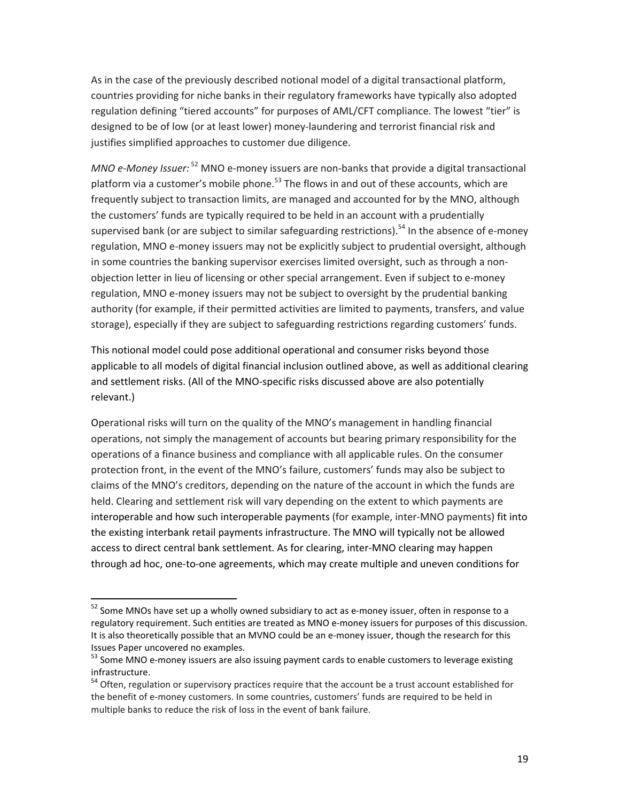As in the case of the previously described notional model of a digital transactional platform, countries providing for niche banks in their regulatory frameworks have typically also adopted regulation defining "tiered accounts" for purposes of AML/CFT compliance. The lowest "tier" is designed to be of low (or at least lower) money-laundering and terrorist financial risk and justifies simplified approaches to customer due diligence.

*MNO* e-Money *Issuer:* <sup>52</sup> MNO e-money issuers are non-banks that provide a digital transactional platform via a customer's mobile phone.<sup>53</sup> The flows in and out of these accounts, which are frequently subject to transaction limits, are managed and accounted for by the MNO, although the customers' funds are typically required to be held in an account with a prudentially supervised bank (or are subject to similar safeguarding restrictions).<sup>54</sup> In the absence of e-money regulation, MNO e-money issuers may not be explicitly subject to prudential oversight, although in some countries the banking supervisor exercises limited oversight, such as through a nonobjection letter in lieu of licensing or other special arrangement. Even if subject to e-money regulation, MNO e-money issuers may not be subject to oversight by the prudential banking authority (for example, if their permitted activities are limited to payments, transfers, and value storage), especially if they are subject to safeguarding restrictions regarding customers' funds.

This notional model could pose additional operational and consumer risks beyond those applicable to all models of digital financial inclusion outlined above, as well as additional clearing and settlement risks. (All of the MNO-specific risks discussed above are also potentially relevant.)

Operational risks will turn on the quality of the MNO's management in handling financial operations, not simply the management of accounts but bearing primary responsibility for the operations of a finance business and compliance with all applicable rules. On the consumer protection front, in the event of the MNO's failure, customers' funds may also be subject to claims of the MNO's creditors, depending on the nature of the account in which the funds are held. Clearing and settlement risk will vary depending on the extent to which payments are interoperable and how such interoperable payments (for example, inter-MNO payments) fit into the existing interbank retail payments infrastructure. The MNO will typically not be allowed access to direct central bank settlement. As for clearing, inter-MNO clearing may happen through ad hoc, one-to-one agreements, which may create multiple and uneven conditions for

 $52$  Some MNOs have set up a wholly owned subsidiary to act as e-money issuer, often in response to a regulatory requirement. Such entities are treated as MNO e-money issuers for purposes of this discussion. It is also theoretically possible that an MVNO could be an e-money issuer, though the research for this Issues Paper uncovered no examples.<br><sup>53</sup> Some MNO e-money issuers are also issuing payment cards to enable customers to leverage existing

infrastructure.

<sup>&</sup>lt;sup>54</sup> Often, regulation or supervisory practices require that the account be a trust account established for the benefit of e-money customers. In some countries, customers' funds are required to be held in multiple banks to reduce the risk of loss in the event of bank failure.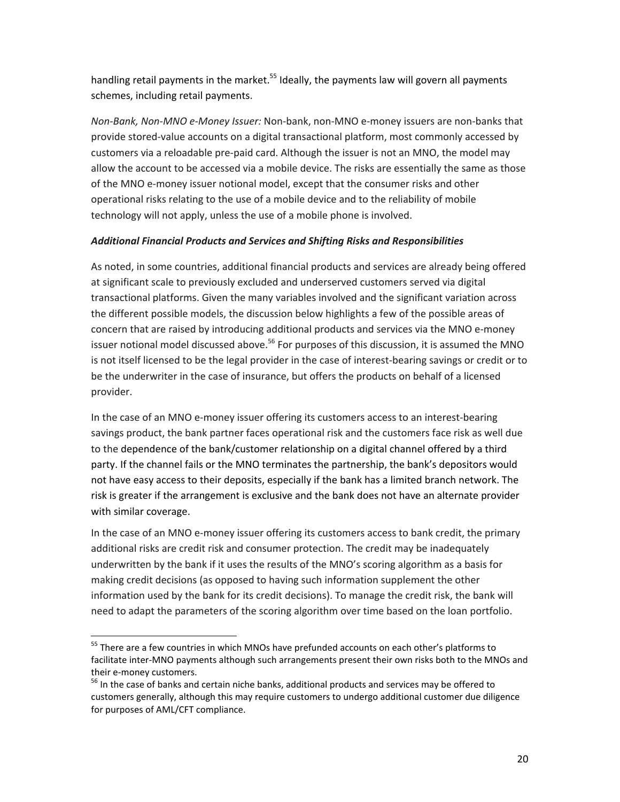handling retail payments in the market.<sup>55</sup> Ideally, the payments law will govern all payments schemes, including retail payments.

*Non-Bank, Non-MNO e-Money Issuer:* Non-bank, non-MNO e-money issuers are non-banks that provide stored-value accounts on a digital transactional platform, most commonly accessed by customers via a reloadable pre-paid card. Although the issuer is not an MNO, the model may allow the account to be accessed via a mobile device. The risks are essentially the same as those of the MNO e-money issuer notional model, except that the consumer risks and other operational risks relating to the use of a mobile device and to the reliability of mobile technology will not apply, unless the use of a mobile phone is involved.

# *Additional Financial Products and Services and Shifting Risks and Responsibilities*

As noted, in some countries, additional financial products and services are already being offered at significant scale to previously excluded and underserved customers served via digital transactional platforms. Given the many variables involved and the significant variation across the different possible models, the discussion below highlights a few of the possible areas of concern that are raised by introducing additional products and services via the MNO e-money issuer notional model discussed above.<sup>56</sup> For purposes of this discussion, it is assumed the MNO is not itself licensed to be the legal provider in the case of interest-bearing savings or credit or to be the underwriter in the case of insurance, but offers the products on behalf of a licensed provider.

In the case of an MNO e-money issuer offering its customers access to an interest-bearing savings product, the bank partner faces operational risk and the customers face risk as well due to the dependence of the bank/customer relationship on a digital channel offered by a third party. If the channel fails or the MNO terminates the partnership, the bank's depositors would not have easy access to their deposits, especially if the bank has a limited branch network. The risk is greater if the arrangement is exclusive and the bank does not have an alternate provider with similar coverage.

In the case of an MNO e-money issuer offering its customers access to bank credit, the primary additional risks are credit risk and consumer protection. The credit may be inadequately underwritten by the bank if it uses the results of the MNO's scoring algorithm as a basis for making credit decisions (as opposed to having such information supplement the other information used by the bank for its credit decisions). To manage the credit risk, the bank will need to adapt the parameters of the scoring algorithm over time based on the loan portfolio.

<sup>&</sup>lt;sup>55</sup> There are a few countries in which MNOs have prefunded accounts on each other's platforms to facilitate inter-MNO payments although such arrangements present their own risks both to the MNOs and their e-money customers.

 $56$  In the case of banks and certain niche banks, additional products and services may be offered to customers generally, although this may require customers to undergo additional customer due diligence for purposes of AML/CFT compliance.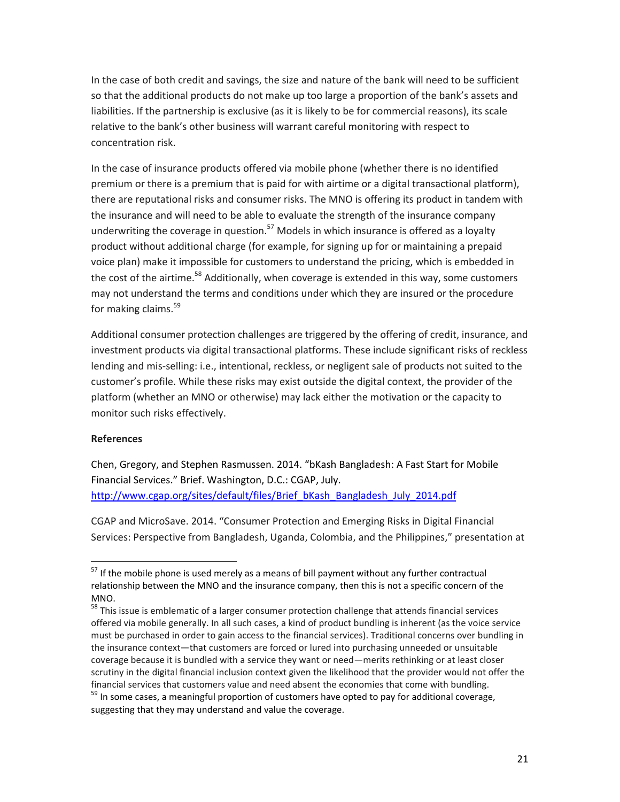In the case of both credit and savings, the size and nature of the bank will need to be sufficient so that the additional products do not make up too large a proportion of the bank's assets and liabilities. If the partnership is exclusive (as it is likely to be for commercial reasons), its scale relative to the bank's other business will warrant careful monitoring with respect to concentration risk. 

In the case of insurance products offered via mobile phone (whether there is no identified premium or there is a premium that is paid for with airtime or a digital transactional platform), there are reputational risks and consumer risks. The MNO is offering its product in tandem with the insurance and will need to be able to evaluate the strength of the insurance company underwriting the coverage in question.<sup>57</sup> Models in which insurance is offered as a loyalty product without additional charge (for example, for signing up for or maintaining a prepaid voice plan) make it impossible for customers to understand the pricing, which is embedded in the cost of the airtime.<sup>58</sup> Additionally, when coverage is extended in this way, some customers may not understand the terms and conditions under which they are insured or the procedure for making claims. $59$ 

Additional consumer protection challenges are triggered by the offering of credit, insurance, and investment products via digital transactional platforms. These include significant risks of reckless lending and mis-selling: i.e., intentional, reckless, or negligent sale of products not suited to the customer's profile. While these risks may exist outside the digital context, the provider of the platform (whether an MNO or otherwise) may lack either the motivation or the capacity to monitor such risks effectively.

## **References**

 

Chen, Gregory, and Stephen Rasmussen. 2014. "bKash Bangladesh: A Fast Start for Mobile Financial Services." Brief. Washington, D.C.: CGAP, July. http://www.cgap.org/sites/default/files/Brief\_bKash\_Bangladesh\_July\_2014.pdf

CGAP and MicroSave. 2014. "Consumer Protection and Emerging Risks in Digital Financial Services: Perspective from Bangladesh, Uganda, Colombia, and the Philippines," presentation at

 $57$  If the mobile phone is used merely as a means of bill payment without any further contractual relationship between the MNO and the insurance company, then this is not a specific concern of the MNO.

<sup>&</sup>lt;sup>58</sup> This issue is emblematic of a larger consumer protection challenge that attends financial services offered via mobile generally. In all such cases, a kind of product bundling is inherent (as the voice service must be purchased in order to gain access to the financial services). Traditional concerns over bundling in the insurance context—that customers are forced or lured into purchasing unneeded or unsuitable coverage because it is bundled with a service they want or need—merits rethinking or at least closer scrutiny in the digital financial inclusion context given the likelihood that the provider would not offer the financial services that customers value and need absent the economies that come with bundling. <sup>59</sup> In some cases, a meaningful proportion of customers have opted to pay for additional coverage,

suggesting that they may understand and value the coverage.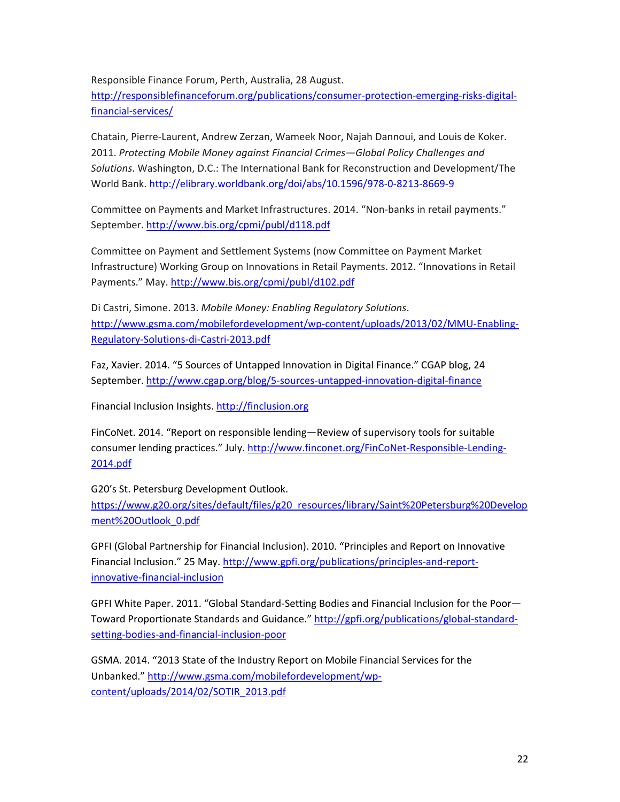Responsible Finance Forum, Perth, Australia, 28 August.

http://responsiblefinanceforum.org/publications/consumer-protection-emerging-risks-digitalfinancial-services/

Chatain, Pierre-Laurent, Andrew Zerzan, Wameek Noor, Najah Dannoui, and Louis de Koker. 2011. Protecting Mobile Money against Financial Crimes—Global Policy Challenges and Solutions. Washington, D.C.: The International Bank for Reconstruction and Development/The World Bank. http://elibrary.worldbank.org/doi/abs/10.1596/978-0-8213-8669-9

Committee on Payments and Market Infrastructures. 2014. "Non-banks in retail payments." September. http://www.bis.org/cpmi/publ/d118.pdf

Committee on Payment and Settlement Systems (now Committee on Payment Market Infrastructure) Working Group on Innovations in Retail Payments. 2012. "Innovations in Retail Payments." May. http://www.bis.org/cpmi/publ/d102.pdf

Di Castri, Simone. 2013. Mobile Money: Enabling Regulatory Solutions. http://www.gsma.com/mobilefordevelopment/wp-content/uploads/2013/02/MMU-Enabling-Regulatory-Solutions-di-Castri-2013.pdf

Faz, Xavier. 2014. "5 Sources of Untapped Innovation in Digital Finance." CGAP blog, 24 September. http://www.cgap.org/blog/5-sources-untapped-innovation-digital-finance

Financial Inclusion Insights. http://finclusion.org

FinCoNet. 2014. "Report on responsible lending—Review of supervisory tools for suitable consumer lending practices." July. http://www.finconet.org/FinCoNet-Responsible-Lending-2014.pdf

G20's St. Petersburg Development Outlook.

https://www.g20.org/sites/default/files/g20\_resources/library/Saint%20Petersburg%20Develop ment%20Outlook\_0.pdf

GPFI (Global Partnership for Financial Inclusion). 2010. "Principles and Report on Innovative Financial Inclusion." 25 May. http://www.gpfi.org/publications/principles-and-reportinnovative-financial-inclusion

GPFI White Paper. 2011. "Global Standard-Setting Bodies and Financial Inclusion for the Poor-Toward Proportionate Standards and Guidance." http://gpfi.org/publications/global-standardsetting-bodies-and-financial-inclusion-poor

GSMA. 2014. "2013 State of the Industry Report on Mobile Financial Services for the Unbanked." http://www.gsma.com/mobilefordevelopment/wpcontent/uploads/2014/02/SOTIR\_2013.pdf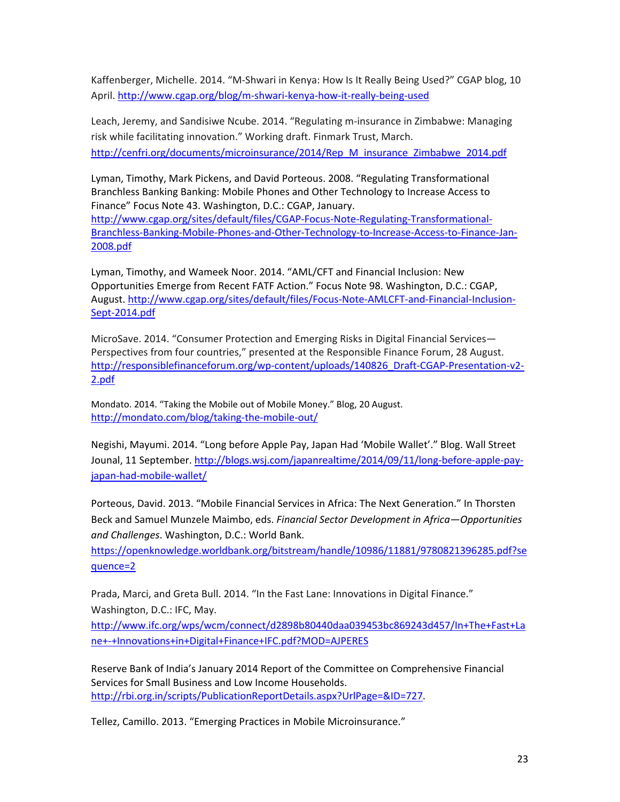Kaffenberger, Michelle. 2014. "M-Shwari in Kenya: How Is It Really Being Used?" CGAP blog, 10 April. http://www.cgap.org/blog/m-shwari-kenya-how-it-really-being-used

Leach, Jeremy, and Sandisiwe Ncube. 2014. "Regulating m-insurance in Zimbabwe: Managing risk while facilitating innovation." Working draft. Finmark Trust, March. http://cenfri.org/documents/microinsurance/2014/Rep\_M\_insurance\_Zimbabwe\_2014.pdf

Lyman, Timothy, Mark Pickens, and David Porteous. 2008. "Regulating Transformational Branchless Banking Banking: Mobile Phones and Other Technology to Increase Access to Finance" Focus Note 43. Washington, D.C.: CGAP, January. http://www.cgap.org/sites/default/files/CGAP-Focus-Note-Regulating-Transformational-Branchless-Banking-Mobile-Phones-and-Other-Technology-to-Increase-Access-to-Finance-Jan-2008.pdf

Lyman, Timothy, and Wameek Noor. 2014. "AML/CFT and Financial Inclusion: New Opportunities Emerge from Recent FATF Action." Focus Note 98. Washington, D.C.: CGAP, August. http://www.cgap.org/sites/default/files/Focus-Note-AMLCFT-and-Financial-Inclusion-Sept-2014.pdf

MicroSave. 2014. "Consumer Protection and Emerging Risks in Digital Financial Services— Perspectives from four countries," presented at the Responsible Finance Forum, 28 August. http://responsiblefinanceforum.org/wp-content/uploads/140826\_Draft-CGAP-Presentation-v2- 2.pdf

Mondato. 2014. "Taking the Mobile out of Mobile Money." Blog, 20 August. http://mondato.com/blog/taking-the-mobile-out/

Negishi, Mayumi. 2014. "Long before Apple Pay, Japan Had 'Mobile Wallet'." Blog. Wall Street Jounal, 11 September. http://blogs.wsj.com/japanrealtime/2014/09/11/long-before-apple-payjapan-had-mobile-wallet/

Porteous, David. 2013. "Mobile Financial Services in Africa: The Next Generation." In Thorsten Beck and Samuel Munzele Maimbo, eds. *Financial Sector Development in Africa—Opportunities* and Challenges. Washington, D.C.: World Bank.

https://openknowledge.worldbank.org/bitstream/handle/10986/11881/9780821396285.pdf?se quence=2

Prada, Marci, and Greta Bull. 2014. "In the Fast Lane: Innovations in Digital Finance." Washington, D.C.: IFC, May.

http://www.ifc.org/wps/wcm/connect/d2898b80440daa039453bc869243d457/In+The+Fast+La ne+-+Innovations+in+Digital+Finance+IFC.pdf?MOD=AJPERES

Reserve Bank of India's January 2014 Report of the Committee on Comprehensive Financial Services for Small Business and Low Income Households. http://rbi.org.in/scripts/PublicationReportDetails.aspx?UrlPage=&ID=727.

Tellez, Camillo. 2013. "Emerging Practices in Mobile Microinsurance."